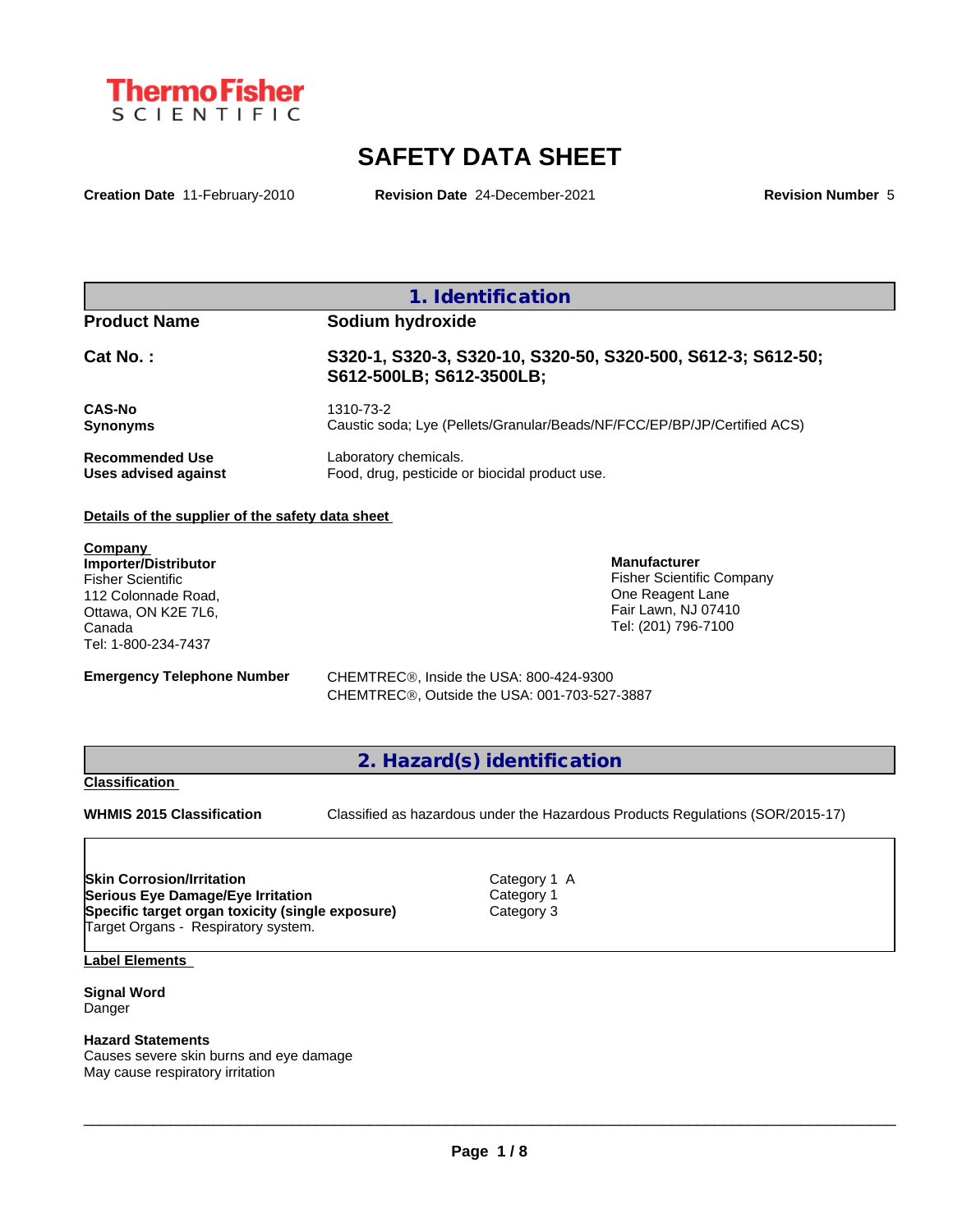

# **SAFETY DATA SHEET**

**Creation Date** 11-February-2010 **Revision Date** 24-December-2021 **Revision Number** 5

|                                                | 1. Identification                                                                        |
|------------------------------------------------|------------------------------------------------------------------------------------------|
| <b>Product Name</b>                            | Sodium hydroxide                                                                         |
| $Cat No.$ :                                    | S320-1, S320-3, S320-10, S320-50, S320-500, S612-3; S612-50;<br>S612-500LB; S612-3500LB; |
| <b>CAS-No</b><br><b>Synonyms</b>               | 1310-73-2<br>Caustic soda; Lye (Pellets/Granular/Beads/NF/FCC/EP/BP/JP/Certified ACS)    |
| <b>Recommended Use</b><br>Uses advised against | Laboratory chemicals.<br>Food, drug, pesticide or biocidal product use.                  |

#### **Details of the supplier of the safety data sheet**

**Company Importer/Distributor** Fisher Scientific 112 Colonnade Road, Ottawa, ON K2E 7L6, Canada Tel: 1-800-234-7437

**Emergency Telephone Number** CHEMTREC<sup>®</sup>, Inside the USA: 800-424-9300 CHEMTRECÒ, Outside the USA: 001-703-527-3887

**2. Hazard(s) identification**

## **Classification**

**WHMIS 2015 Classification** Classified as hazardous under the Hazardous Products Regulations (SOR/2015-17)

 $\_$  ,  $\_$  ,  $\_$  ,  $\_$  ,  $\_$  ,  $\_$  ,  $\_$  ,  $\_$  ,  $\_$  ,  $\_$  ,  $\_$  ,  $\_$  ,  $\_$  ,  $\_$  ,  $\_$  ,  $\_$  ,  $\_$  ,  $\_$  ,  $\_$  ,  $\_$  ,  $\_$  ,  $\_$  ,  $\_$  ,  $\_$  ,  $\_$  ,  $\_$  ,  $\_$  ,  $\_$  ,  $\_$  ,  $\_$  ,  $\_$  ,  $\_$  ,  $\_$  ,  $\_$  ,  $\_$  ,  $\_$  ,  $\_$  ,

**Manufacturer**

Fisher Scientific Company One Reagent Lane Fair Lawn, NJ 07410 Tel: (201) 796-7100

**Skin Corrosion/Irritation** Category 1 A **Serious Eye Damage/Eye Irritation** Category 1 **Specific target organ toxicity (single exposure)** Category 3 Target Organs - Respiratory system.

**Label Elements**

**Signal Word** Danger

#### **Hazard Statements**

Causes severe skin burns and eye damage May cause respiratory irritation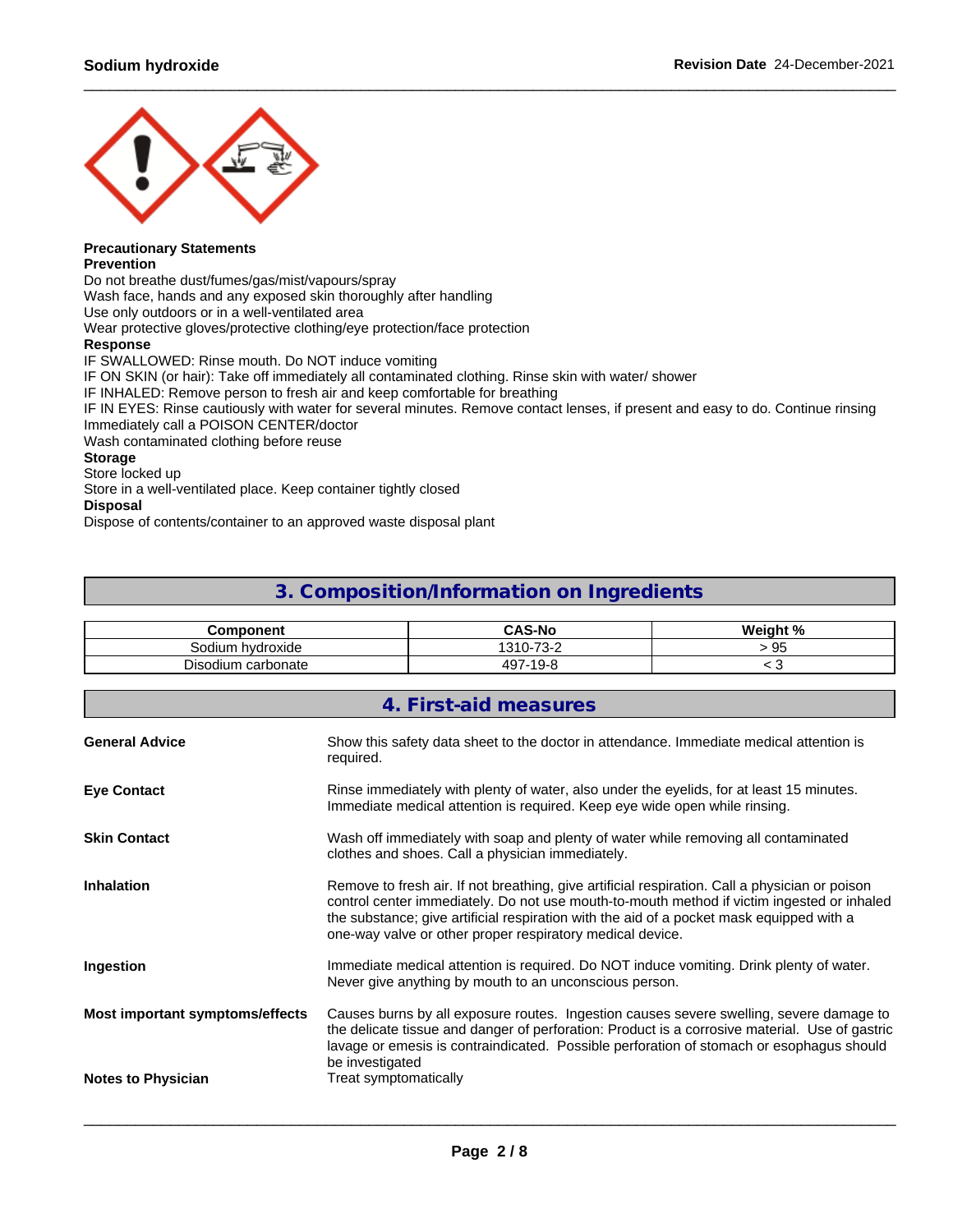

# **Precautionary Statements**

### **Prevention**

Do not breathe dust/fumes/gas/mist/vapours/spray

Wash face, hands and any exposed skin thoroughly after handling

Use only outdoors or in a well-ventilated area

Wear protective gloves/protective clothing/eye protection/face protection

#### **Response**

IF SWALLOWED: Rinse mouth. Do NOT induce vomiting

IF ON SKIN (or hair): Take off immediately all contaminated clothing. Rinse skin with water/ shower

IF INHALED: Remove person to fresh air and keep comfortable for breathing

IF IN EYES: Rinse cautiously with water for several minutes. Remove contact lenses, if present and easy to do. Continue rinsing Immediately call a POISON CENTER/doctor

Wash contaminated clothing before reuse

## **Storage**

Store locked up

Store in a well-ventilated place. Keep container tightly closed

## **Disposal**

Dispose of contents/container to an approved waste disposal plant

# **3. Composition/Information on Ingredients**

| `omponent                   | <b>CAS-No</b>                             | * 01<br><b>Weigh</b> |
|-----------------------------|-------------------------------------------|----------------------|
| hvdroxide<br>sodium         | $\overline{\phantom{a}}$<br>$\Omega$<br>v | - 70                 |
| --<br>Disodium<br>carbonate | 107<br>$\sim$<br>⁄i u<br>- 1<br>. .       | . .                  |

|                                 | 4. First-aid measures                                                                                                                                                                                                                                                                                                                                 |
|---------------------------------|-------------------------------------------------------------------------------------------------------------------------------------------------------------------------------------------------------------------------------------------------------------------------------------------------------------------------------------------------------|
| <b>General Advice</b>           | Show this safety data sheet to the doctor in attendance. Immediate medical attention is<br>required.                                                                                                                                                                                                                                                  |
| <b>Eye Contact</b>              | Rinse immediately with plenty of water, also under the eyelids, for at least 15 minutes.<br>Immediate medical attention is required. Keep eye wide open while rinsing.                                                                                                                                                                                |
| <b>Skin Contact</b>             | Wash off immediately with soap and plenty of water while removing all contaminated<br>clothes and shoes. Call a physician immediately.                                                                                                                                                                                                                |
| Inhalation                      | Remove to fresh air. If not breathing, give artificial respiration. Call a physician or poison<br>control center immediately. Do not use mouth-to-mouth method if victim ingested or inhaled<br>the substance; give artificial respiration with the aid of a pocket mask equipped with a<br>one-way valve or other proper respiratory medical device. |
| Ingestion                       | Immediate medical attention is required. Do NOT induce vomiting. Drink plenty of water.<br>Never give anything by mouth to an unconscious person.                                                                                                                                                                                                     |
| Most important symptoms/effects | Causes burns by all exposure routes. Ingestion causes severe swelling, severe damage to<br>the delicate tissue and danger of perforation: Product is a corrosive material. Use of gastric<br>lavage or emesis is contraindicated. Possible perforation of stomach or esophagus should<br>be investigated                                              |
| <b>Notes to Physician</b>       | Treat symptomatically                                                                                                                                                                                                                                                                                                                                 |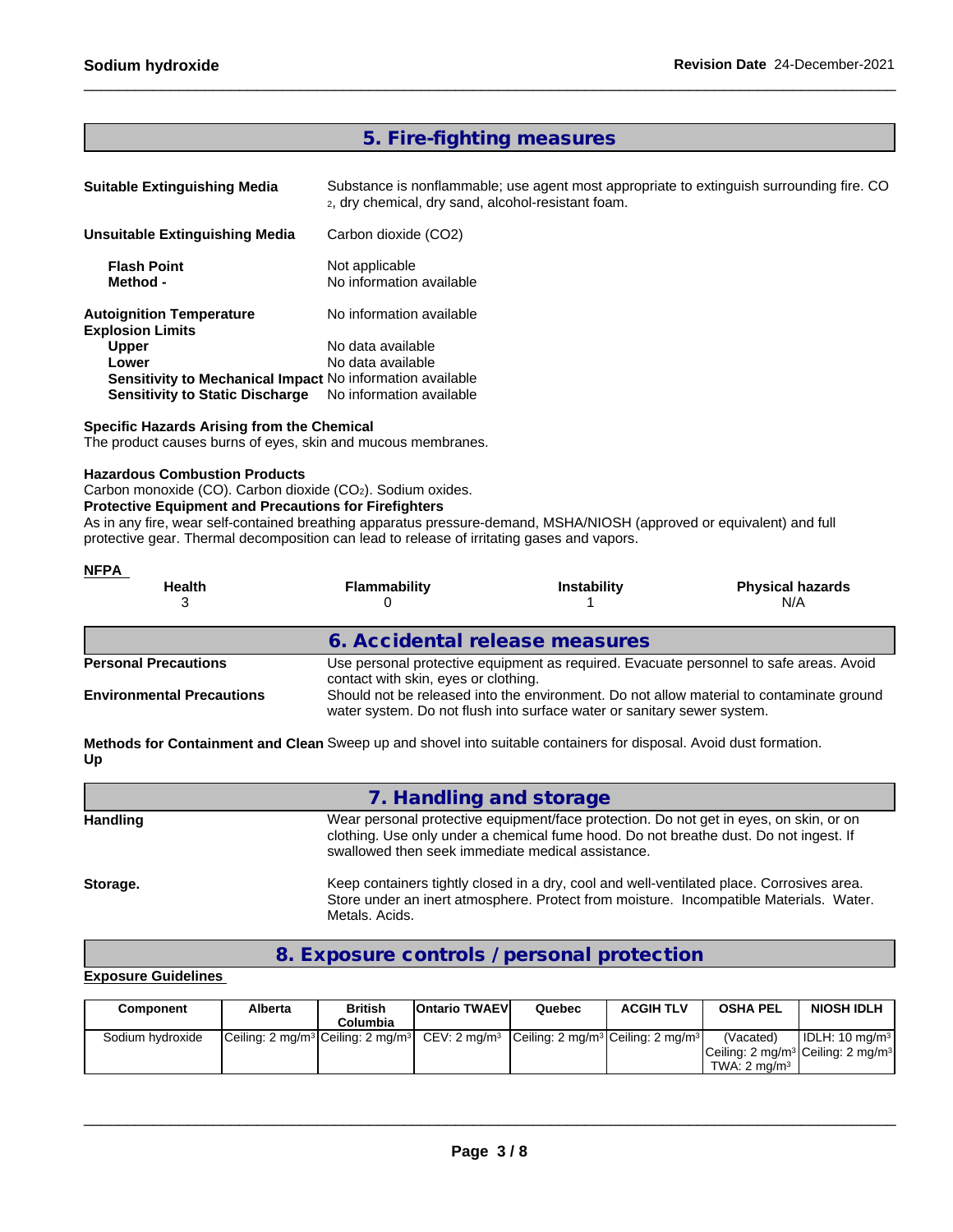## **5. Fire-fighting measures**

| <b>Suitable Extinguishing Media</b>                        | Substance is nonflammable; use agent most appropriate to extinguish surrounding fire. CO<br>2, dry chemical, dry sand, alcohol-resistant foam. |
|------------------------------------------------------------|------------------------------------------------------------------------------------------------------------------------------------------------|
| <b>Unsuitable Extinguishing Media</b>                      | Carbon dioxide (CO2)                                                                                                                           |
| <b>Flash Point</b><br>Method -                             | Not applicable<br>No information available                                                                                                     |
| <b>Autoignition Temperature</b><br><b>Explosion Limits</b> | No information available                                                                                                                       |
| <b>Upper</b>                                               | No data available                                                                                                                              |
| Lower                                                      | No data available                                                                                                                              |
| Sensitivity to Mechanical Impact No information available  |                                                                                                                                                |
| <b>Sensitivity to Static Discharge</b>                     | No information available                                                                                                                       |

### **Specific Hazards Arising from the Chemical**

The product causes burns of eyes, skin and mucous membranes.

### **Hazardous Combustion Products**

Carbon monoxide (CO). Carbon dioxide (CO<sub>2</sub>). Sodium oxides.

## **Protective Equipment and Precautions for Firefighters**

As in any fire, wear self-contained breathing apparatus pressure-demand, MSHA/NIOSH (approved or equivalent) and full protective gear. Thermal decomposition can lead to release of irritating gases and vapors.

| <b>NFPA</b>                      |                                                                                                                                                                     |                    |                                                                                        |  |  |  |  |
|----------------------------------|---------------------------------------------------------------------------------------------------------------------------------------------------------------------|--------------------|----------------------------------------------------------------------------------------|--|--|--|--|
| <b>Health</b>                    | Flammability                                                                                                                                                        | <b>Instability</b> | <b>Physical hazards</b><br>N/A                                                         |  |  |  |  |
|                                  | 6. Accidental release measures                                                                                                                                      |                    |                                                                                        |  |  |  |  |
| <b>Personal Precautions</b>      | contact with skin, eyes or clothing.                                                                                                                                |                    | Use personal protective equipment as required. Evacuate personnel to safe areas. Avoid |  |  |  |  |
| <b>Environmental Precautions</b> | Should not be released into the environment. Do not allow material to contaminate ground<br>water system. Do not flush into surface water or sanitary sewer system. |                    |                                                                                        |  |  |  |  |

**Methods for Containment and Clean** Sweep up and shovel into suitable containers for disposal. Avoid dust formation. **Up**

|          | 7. Handling and storage                                                                                                                                                                                                              |
|----------|--------------------------------------------------------------------------------------------------------------------------------------------------------------------------------------------------------------------------------------|
| Handling | Wear personal protective equipment/face protection. Do not get in eyes, on skin, or on<br>clothing. Use only under a chemical fume hood. Do not breathe dust. Do not ingest. If<br>swallowed then seek immediate medical assistance. |
| Storage. | Keep containers tightly closed in a dry, cool and well-ventilated place. Corrosives area.<br>Store under an inert atmosphere. Protect from moisture. Incompatible Materials. Water.<br>Metals, Acids,                                |

## **8. Exposure controls / personal protection**

## **Exposure Guidelines**

| Component        | Alberta | <b>British</b><br>Columbia | <b>Ontario TWAEVI</b>                                                                 | Quebec | <b>ACGIH TLV</b> | <b>OSHA PEL</b>                                                               | <b>NIOSH IDLH</b> |
|------------------|---------|----------------------------|---------------------------------------------------------------------------------------|--------|------------------|-------------------------------------------------------------------------------|-------------------|
| Sodium hydroxide |         |                            | $ Ceiling: 2 mg/m3 Ceiling: 2 mg/m3  CEV: 2 mg/m3 Ceiling: 2 mg/m3 Ceiling: 2 mg/m3 $ |        |                  | (Vacated)<br>$ Ceiling: 2 mg/m3 Ceiling: 2 mg/m3 $<br>TWA: $2 \text{ ma/m}^3$ | l IDLH: 10 ma/mªl |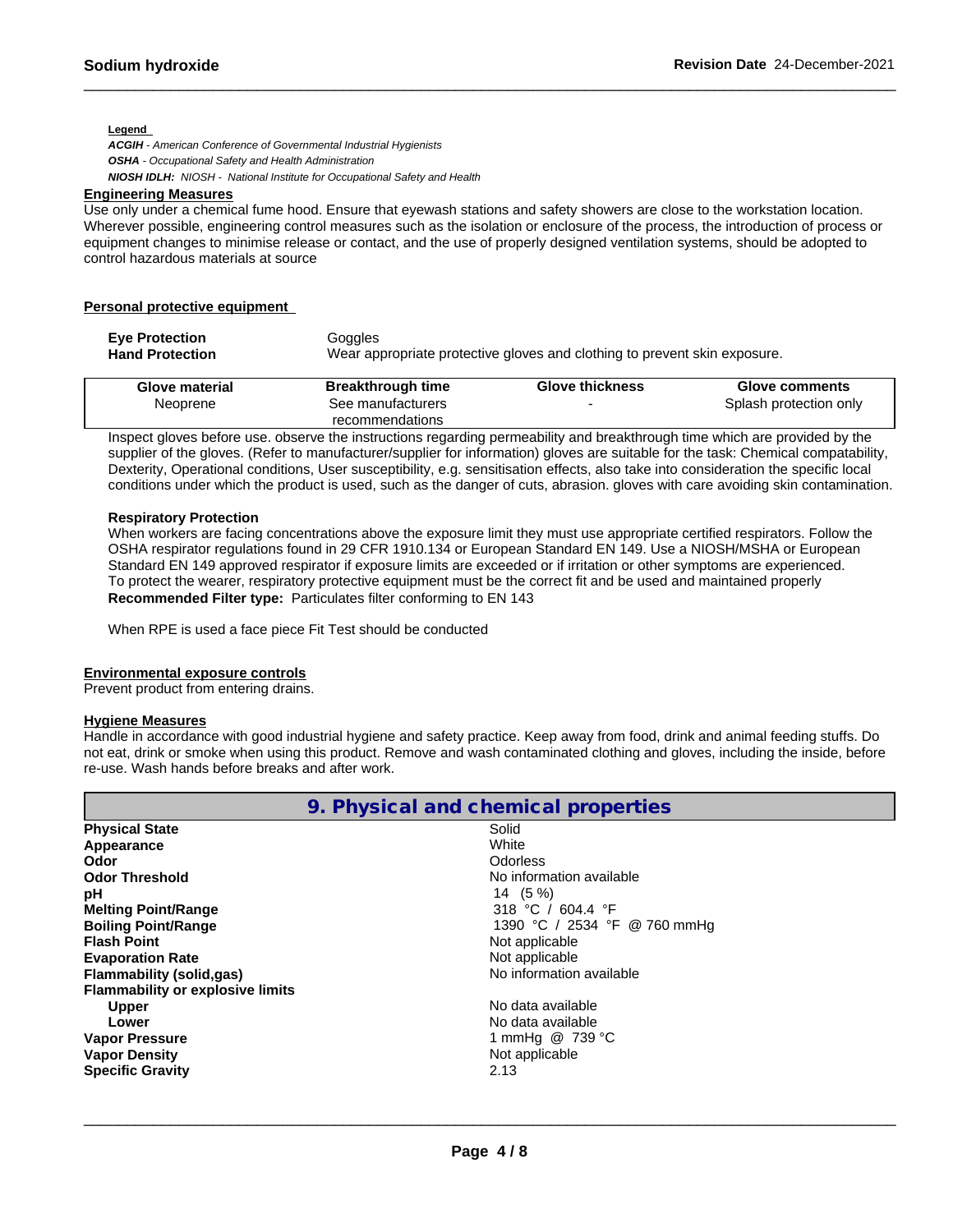#### **Legend**

*ACGIH - American Conference of Governmental Industrial Hygienists OSHA - Occupational Safety and Health Administration NIOSH IDLH: NIOSH - National Institute for Occupational Safety and Health*

#### **Engineering Measures**

Use only under a chemical fume hood. Ensure that eyewash stations and safety showers are close to the workstation location. Wherever possible, engineering control measures such as the isolation or enclosure of the process, the introduction of process or equipment changes to minimise release or contact, and the use of properly designed ventilation systems, should be adopted to control hazardous materials at source

## **Personal protective equipment**

| <b>Eve Protection</b>  | Goggles                                                                   |
|------------------------|---------------------------------------------------------------------------|
| <b>Hand Protection</b> | Wear appropriate protective gloves and clothing to prevent skin exposure. |

| Glove material | <b>Breakthrough time</b> | <b>Glove thickness</b> | Glove comments         |
|----------------|--------------------------|------------------------|------------------------|
| Neoprene       | See manufacturers        |                        | Splash protection only |
|                | recommendations          |                        |                        |

Inspect gloves before use. observe the instructions regarding permeability and breakthrough time which are provided by the supplier of the gloves. (Refer to manufacturer/supplier for information) gloves are suitable for the task: Chemical compatability, Dexterity, Operational conditions, User susceptibility, e.g. sensitisation effects, also take into consideration the specific local conditions under which the product is used, such as the danger of cuts, abrasion. gloves with care avoiding skin contamination.

## **Respiratory Protection**

When workers are facing concentrations above the exposure limit they must use appropriate certified respirators. Follow the OSHA respirator regulations found in 29 CFR 1910.134 or European Standard EN 149. Use a NIOSH/MSHA or European Standard EN 149 approved respirator if exposure limits are exceeded or if irritation or other symptoms are experienced. To protect the wearer, respiratory protective equipment must be the correct fit and be used and maintained properly **Recommended Filter type:** Particulates filter conforming to EN 143

When RPE is used a face piece Fit Test should be conducted

## **Environmental exposure controls**

Prevent product from entering drains.

### **Hygiene Measures**

Handle in accordance with good industrial hygiene and safety practice. Keep away from food, drink and animal feeding stuffs. Do not eat, drink or smoke when using this product. Remove and wash contaminated clothing and gloves, including the inside, before re-use. Wash hands before breaks and after work.

|                                         | 9. Physical and chemical properties |
|-----------------------------------------|-------------------------------------|
| <b>Physical State</b>                   | Solid                               |
| Appearance                              | White                               |
| Odor                                    | Odorless                            |
| <b>Odor Threshold</b>                   | No information available            |
| рH                                      | 14 (5 %)                            |
| <b>Melting Point/Range</b>              | 318 °C / 604.4 °F                   |
| <b>Boiling Point/Range</b>              | 1390 °C / 2534 °F @ 760 mmHg        |
| <b>Flash Point</b>                      | Not applicable                      |
| <b>Evaporation Rate</b>                 | Not applicable                      |
| <b>Flammability (solid,gas)</b>         | No information available            |
| <b>Flammability or explosive limits</b> |                                     |
| <b>Upper</b>                            | No data available                   |
| Lower                                   | No data available                   |
| <b>Vapor Pressure</b>                   | 1 mmHg @ 739 °C                     |
| <b>Vapor Density</b>                    | Not applicable                      |
| <b>Specific Gravity</b>                 | 2.13                                |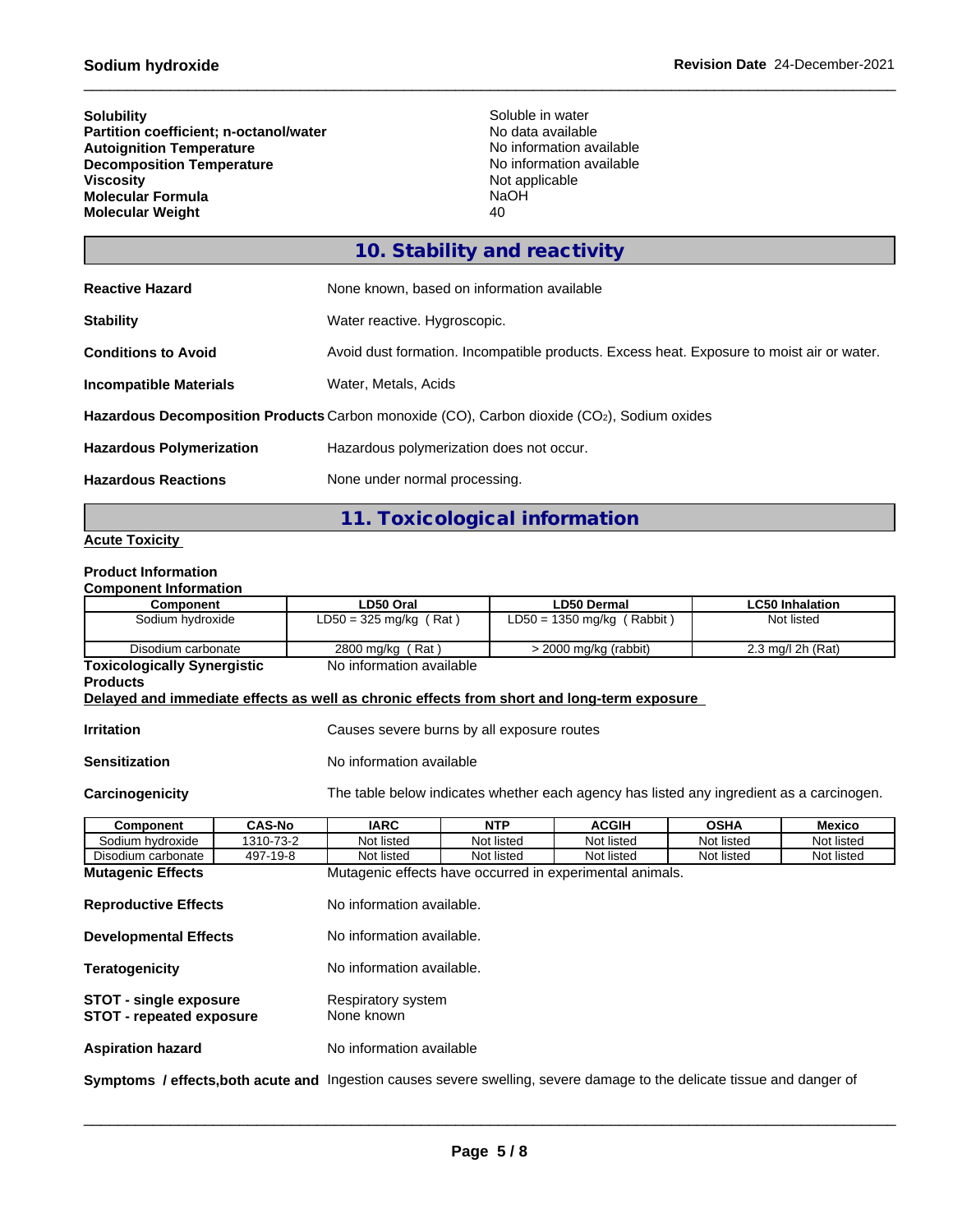| <b>Solubility</b><br><b>Partition coefficient; n-octanol/water</b><br><b>Autoignition Temperature</b><br><b>Decomposition Temperature</b><br><b>Viscosity</b><br>Molecular Formula<br><b>Molecular Weight</b> | Soluble in water<br>No data available<br>No information available<br>No information available<br>Not applicable<br>NaOH<br>40 |
|---------------------------------------------------------------------------------------------------------------------------------------------------------------------------------------------------------------|-------------------------------------------------------------------------------------------------------------------------------|
|                                                                                                                                                                                                               | 10. Stability and reactivity                                                                                                  |
| <b>Reactive Hazard</b>                                                                                                                                                                                        | None known, based on information available                                                                                    |
| <b>Stability</b>                                                                                                                                                                                              | Water reactive. Hygroscopic.                                                                                                  |
| <b>Conditions to Avoid</b>                                                                                                                                                                                    | Avoid dust formation. Incompatible products. Excess heat. Exposure to moist air or water.                                     |
| <b>Incompatible Materials</b>                                                                                                                                                                                 | Water, Metals, Acids                                                                                                          |
|                                                                                                                                                                                                               | Hazardous Decomposition Products Carbon monoxide (CO), Carbon dioxide (CO2), Sodium oxides                                    |
| <b>Hazardous Polymerization</b>                                                                                                                                                                               | Hazardous polymerization does not occur.                                                                                      |
| <b>Hazardous Reactions</b>                                                                                                                                                                                    | None under normal processing.                                                                                                 |

# **11. Toxicological information**

## **Acute Toxicity**

# **Product Information**

| <b>Component Information</b>                                                                         |                              |  |                                                                                          |                           |                              |              |  |                        |            |
|------------------------------------------------------------------------------------------------------|------------------------------|--|------------------------------------------------------------------------------------------|---------------------------|------------------------------|--------------|--|------------------------|------------|
| Component                                                                                            |                              |  | LD50 Oral                                                                                |                           | <b>LD50 Dermal</b>           |              |  | <b>LC50 Inhalation</b> |            |
| Sodium hydroxide                                                                                     |                              |  | $LD50 = 325$ mg/kg (Rat)                                                                 |                           | LD50 = 1350 mg/kg $(Rabbit)$ |              |  | Not listed             |            |
| Disodium carbonate                                                                                   |                              |  | 2800 mg/kg (Rat)                                                                         |                           | > 2000 mg/kg (rabbit)        |              |  | 2.3 mg/l 2h (Rat)      |            |
| <b>Toxicologically Synergistic</b><br><b>Products</b>                                                |                              |  | No information available                                                                 |                           |                              |              |  |                        |            |
| Delayed and immediate effects as well as chronic effects from short and long-term exposure           |                              |  |                                                                                          |                           |                              |              |  |                        |            |
| <b>Irritation</b>                                                                                    |                              |  | Causes severe burns by all exposure routes                                               |                           |                              |              |  |                        |            |
| <b>Sensitization</b>                                                                                 |                              |  | No information available                                                                 |                           |                              |              |  |                        |            |
| Carcinogenicity                                                                                      |                              |  | The table below indicates whether each agency has listed any ingredient as a carcinogen. |                           |                              |              |  |                        |            |
| Component                                                                                            | <b>IARC</b><br><b>CAS-No</b> |  |                                                                                          | <b>NTP</b>                |                              | <b>ACGIH</b> |  | <b>OSHA</b>            | Mexico     |
| Sodium hydroxide                                                                                     | 1310-73-2                    |  | Not listed                                                                               | Not listed                |                              | Not listed   |  | Not listed             | Not listed |
| Disodium carbonate                                                                                   | 497-19-8                     |  | Not listed                                                                               | Not listed                |                              | Not listed   |  | Not listed             | Not listed |
| <b>Mutagenic Effects</b>                                                                             |                              |  | Mutagenic effects have occurred in experimental animals.                                 |                           |                              |              |  |                        |            |
| <b>Reproductive Effects</b>                                                                          |                              |  | No information available.                                                                |                           |                              |              |  |                        |            |
| <b>Developmental Effects</b>                                                                         |                              |  | No information available.                                                                |                           |                              |              |  |                        |            |
| <b>Teratogenicity</b>                                                                                |                              |  |                                                                                          | No information available. |                              |              |  |                        |            |
| Respiratory system<br><b>STOT - single exposure</b><br>None known<br><b>STOT - repeated exposure</b> |                              |  |                                                                                          |                           |                              |              |  |                        |            |
| <b>Aspiration hazard</b>                                                                             |                              |  | No information available                                                                 |                           |                              |              |  |                        |            |
|                                                                                                      |                              |  |                                                                                          |                           |                              |              |  |                        |            |

**Symptoms / effects,both acute and** Ingestion causes severe swelling, severe damage to the delicate tissue and danger of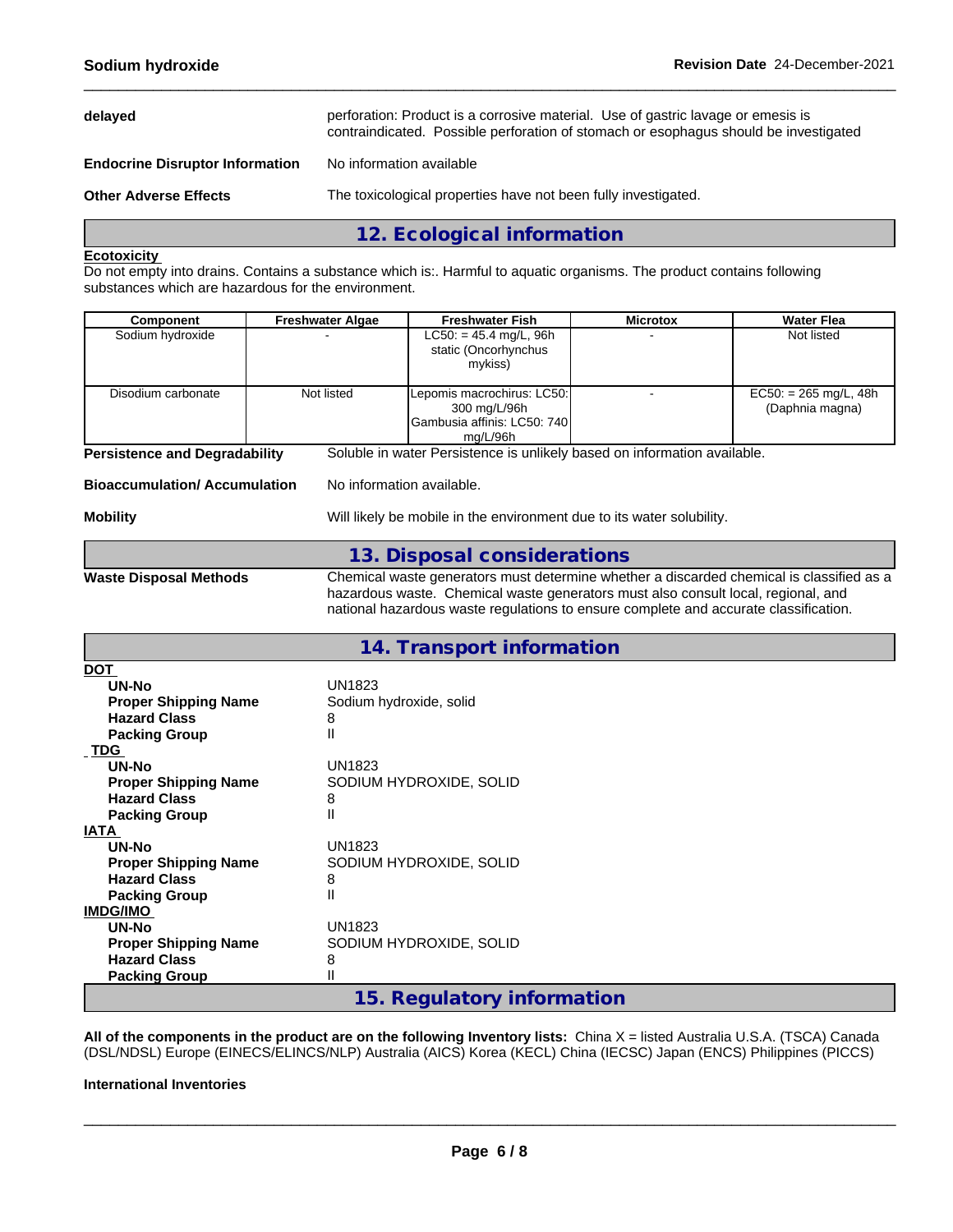| delayed                                | perforation: Product is a corrosive material. Use of gastric lavage or emesis is<br>contraindicated. Possible perforation of stomach or esophagus should be investigated |
|----------------------------------------|--------------------------------------------------------------------------------------------------------------------------------------------------------------------------|
| <b>Endocrine Disruptor Information</b> | No information available                                                                                                                                                 |
| <b>Other Adverse Effects</b>           | The toxicological properties have not been fully investigated.                                                                                                           |
|                                        | 12. Ecological information                                                                                                                                               |

## **Ecotoxicity**

Do not empty into drains. Contains a substance which is:. Harmful to aquatic organisms. The product contains following substances which are hazardous for the environment.

| Component                            | <b>Freshwater Algae</b> | <b>Freshwater Fish</b>                                                                  | <b>Microtox</b> | <b>Water Flea</b>                          |
|--------------------------------------|-------------------------|-----------------------------------------------------------------------------------------|-----------------|--------------------------------------------|
| Sodium hydroxide                     |                         | $LC50: = 45.4$ mg/L, 96h<br>static (Oncorhynchus<br>mykiss)                             |                 | Not listed                                 |
| Disodium carbonate                   | Not listed              | Lepomis macrochirus: LC50:<br>300 mg/L/96h<br>IGambusia affinis: LC50: 740I<br>mg/L/96h |                 | $EC50: = 265$ mg/L, 48h<br>(Daphnia magna) |
| <b>Persistence and Degradability</b> |                         | Soluble in water Persistence is unlikely based on information available.                |                 |                                            |

| Bioaccumulation/ Accumulation |  |
|-------------------------------|--|
|-------------------------------|--|

**No information available.** 

#### **Mobility** Mobility **Mobility** Will likely be mobile in the environment due to its water solubility.

**13. Disposal considerations**

**Waste Disposal Methods** Chemical waste generators must determine whether a discarded chemical is classified as a hazardous waste. Chemical waste generators must also consult local, regional, and national hazardous waste regulations to ensure complete and accurate classification.

# **14. Transport information**

| <u>DOT</u>                  |                            |
|-----------------------------|----------------------------|
| UN-No                       | UN1823                     |
| <b>Proper Shipping Name</b> | Sodium hydroxide, solid    |
| <b>Hazard Class</b>         | 8                          |
| <b>Packing Group</b>        | Ш                          |
| <b>TDG</b>                  |                            |
| UN-No                       | UN1823                     |
| <b>Proper Shipping Name</b> | SODIUM HYDROXIDE, SOLID    |
| <b>Hazard Class</b>         | 8                          |
| <b>Packing Group</b>        | Ш                          |
| <b>IATA</b>                 |                            |
| UN-No                       | <b>UN1823</b>              |
| <b>Proper Shipping Name</b> | SODIUM HYDROXIDE, SOLID    |
| <b>Hazard Class</b>         | 8                          |
| <b>Packing Group</b>        | Ш                          |
| <b>IMDG/IMO</b>             |                            |
| UN-No                       | UN1823                     |
| <b>Proper Shipping Name</b> | SODIUM HYDROXIDE, SOLID    |
| <b>Hazard Class</b>         | 8                          |
| <b>Packing Group</b>        |                            |
|                             | 15. Regulatory information |

**All of the components in the product are on the following Inventory lists:** China X = listed Australia U.S.A. (TSCA) Canada (DSL/NDSL) Europe (EINECS/ELINCS/NLP) Australia (AICS) Korea (KECL) China (IECSC) Japan (ENCS) Philippines (PICCS)

#### **International Inventories**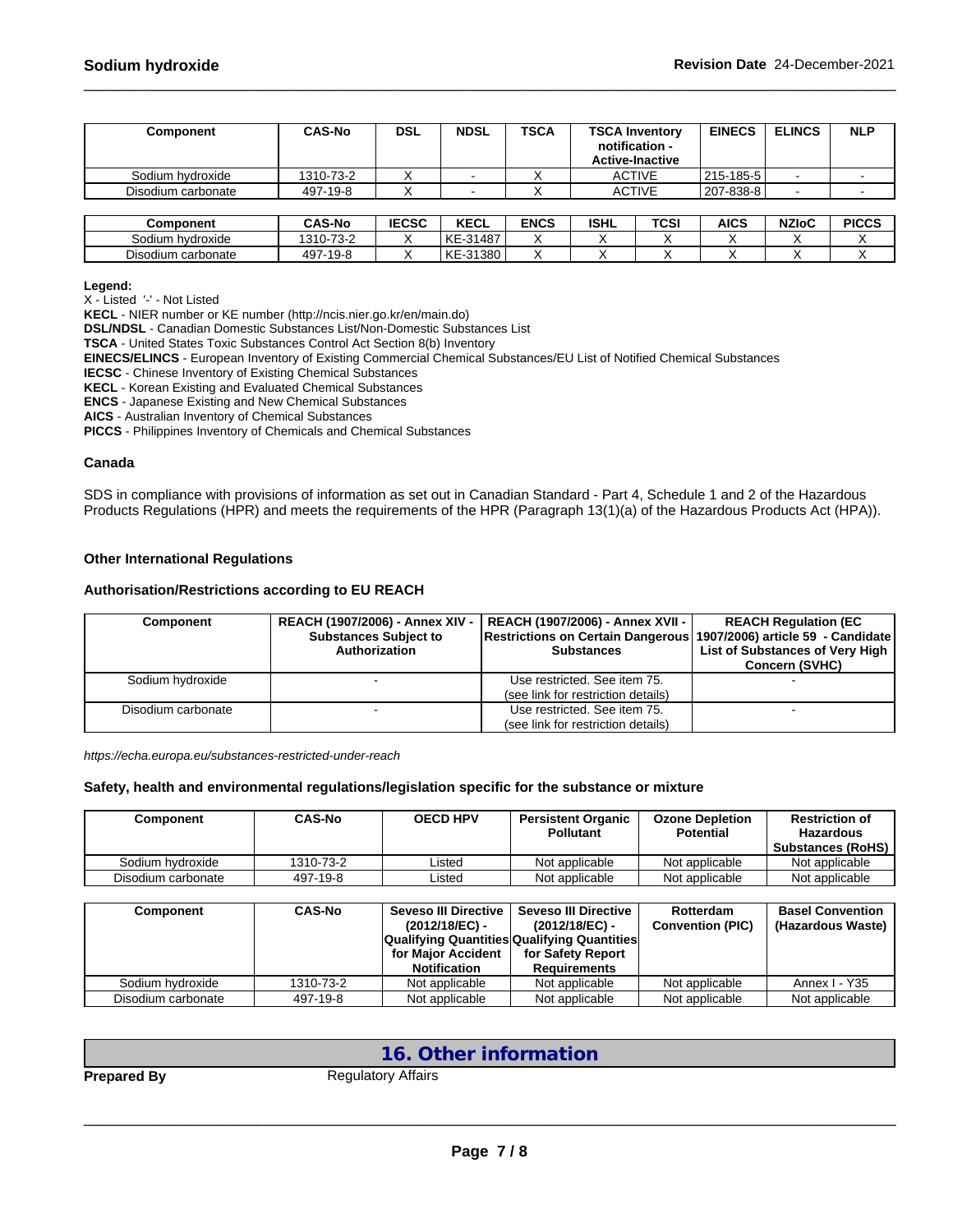| Component          | <b>CAS-No</b> | <b>DSL</b>   | <b>NDSL</b> | <b>TSCA</b> | <b>TSCA Inventory</b><br>notification -<br><b>Active-Inactive</b> |      | <b>EINECS</b> | <b>ELINCS</b> | <b>NLP</b>   |
|--------------------|---------------|--------------|-------------|-------------|-------------------------------------------------------------------|------|---------------|---------------|--------------|
| Sodium hydroxide   | 1310-73-2     |              |             |             | <b>ACTIVE</b>                                                     |      | 215-185-5     |               |              |
| Disodium carbonate | 497-19-8      |              |             |             | <b>ACTIVE</b>                                                     |      | 207-838-8     |               |              |
|                    |               |              |             |             |                                                                   |      |               |               |              |
| Component          | <b>CAS-No</b> | <b>IECSC</b> | <b>KECL</b> | <b>ENCS</b> | <b>ISHL</b>                                                       | TCSI | AICS          | <b>NZIoC</b>  | <b>PICCS</b> |
| Sodium hydroxide   | 1310-73-2     |              | KE-31487    |             |                                                                   |      |               |               |              |
| Disodium carbonate | 497-19-8      |              | KE-31380    |             |                                                                   |      |               |               |              |

#### **Legend:**

X - Listed '-' - Not Listed

**KECL** - NIER number or KE number (http://ncis.nier.go.kr/en/main.do)

**DSL/NDSL** - Canadian Domestic Substances List/Non-Domestic Substances List

**TSCA** - United States Toxic Substances Control Act Section 8(b) Inventory

**EINECS/ELINCS** - European Inventory of Existing Commercial Chemical Substances/EU List of Notified Chemical Substances

**IECSC** - Chinese Inventory of Existing Chemical Substances

**KECL** - Korean Existing and Evaluated Chemical Substances

**ENCS** - Japanese Existing and New Chemical Substances

**AICS** - Australian Inventory of Chemical Substances

**PICCS** - Philippines Inventory of Chemicals and Chemical Substances

#### **Canada**

SDS in compliance with provisions of information as set out in Canadian Standard - Part 4, Schedule 1 and 2 of the Hazardous Products Regulations (HPR) and meets the requirements of the HPR (Paragraph 13(1)(a) of the Hazardous Products Act (HPA)).

#### **Other International Regulations**

#### **Authorisation/Restrictions according to EU REACH**

| <b>Component</b>   | <b>REACH (1907/2006) - Annex XIV -</b><br><b>Substances Subject to</b><br>Authorization | REACH (1907/2006) - Annex XVII -  <br> Restrictions on Certain Dangerous   1907/2006) article 59  - Candidate  <br><b>Substances</b> | <b>REACH Regulation (EC)</b><br>List of Substances of Very High<br><b>Concern (SVHC)</b> |
|--------------------|-----------------------------------------------------------------------------------------|--------------------------------------------------------------------------------------------------------------------------------------|------------------------------------------------------------------------------------------|
| Sodium hydroxide   |                                                                                         | Use restricted. See item 75.<br>(see link for restriction details)                                                                   |                                                                                          |
| Disodium carbonate |                                                                                         | Use restricted. See item 75.<br>(see link for restriction details)                                                                   |                                                                                          |

*https://echa.europa.eu/substances-restricted-under-reach*

#### **Safety, health and environmental regulations/legislation specific for the substance or mixture**

| Component          | <b>CAS-No</b> | <b>OECD HPV</b> | <b>Persistent Organic</b><br><b>Pollutant</b> | <b>Ozone Depletion</b><br><b>Potential</b> | <b>Restriction of</b><br><b>Hazardous</b><br><b>Substances (RoHS)</b> |
|--------------------|---------------|-----------------|-----------------------------------------------|--------------------------------------------|-----------------------------------------------------------------------|
| Sodium hydroxide   | 1310-73-2     | _isted          | Not applicable                                | Not applicable                             | Not applicable                                                        |
| Disodium carbonate | 497-19-8      | _isted          | Not applicable                                | Not applicable                             | Not applicable                                                        |

| Component          | <b>CAS-No</b> | Seveso III Directive<br>Seveso III Directive       |                   | Rotterdam               | <b>Basel Convention</b> |
|--------------------|---------------|----------------------------------------------------|-------------------|-------------------------|-------------------------|
|                    |               | (2012/18/EC) -                                     | (2012/18/EC) -    | <b>Convention (PIC)</b> | (Hazardous Waste)       |
|                    |               | <b>Qualifying Quantities Qualifying Quantities</b> |                   |                         |                         |
|                    |               | for Maior Accident                                 | for Safety Report |                         |                         |
|                    |               | <b>Notification</b>                                | Requirements      |                         |                         |
| Sodium hydroxide   | 1310-73-2     | Not applicable                                     | Not applicable    | Not applicable          | Annex I - Y35           |
| Disodium carbonate | 497-19-8      | Not applicable                                     | Not applicable    | Not applicable          | Not applicable          |

## **16. Other information**

**Prepared By** Regulatory Affairs